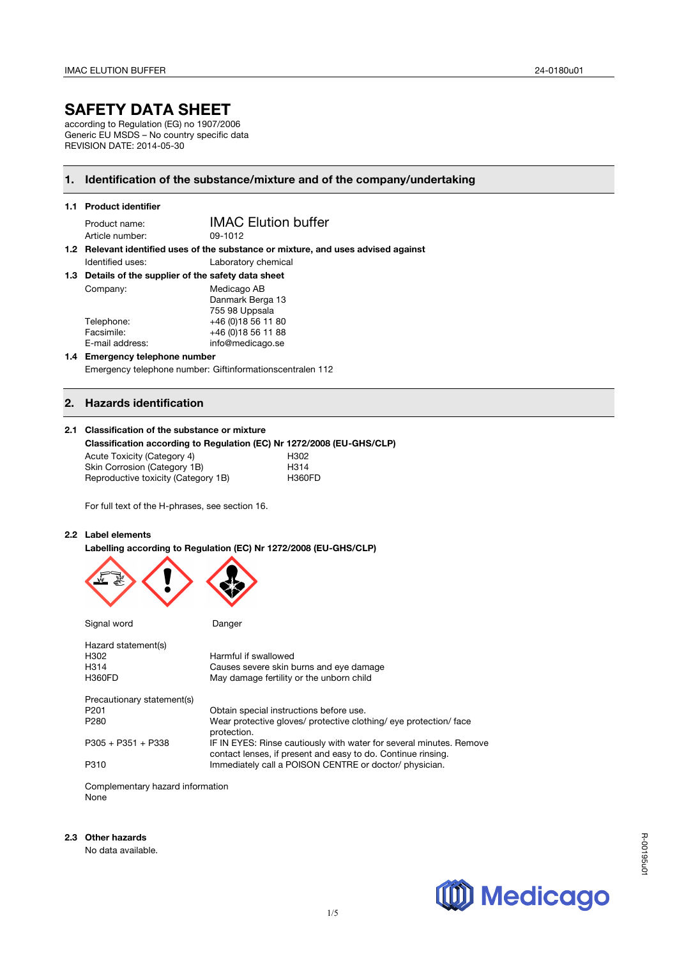# **SAFETY DATA SHEET**

according to Regulation (EG) no 1907/2006 Generic EU MSDS – No country specific data REVISION DATE: 2014-05-30

## **1. Identification of the substance/mixture and of the company/undertaking**

|  | 1.1 Product identifier                                                             |                            |  |  |
|--|------------------------------------------------------------------------------------|----------------------------|--|--|
|  | Product name:                                                                      | <b>IMAC Elution buffer</b> |  |  |
|  | Article number:                                                                    | 09-1012                    |  |  |
|  | 1.2 Relevant identified uses of the substance or mixture, and uses advised against |                            |  |  |
|  | Identified uses:                                                                   | Laboratory chemical        |  |  |
|  | 1.3 Details of the supplier of the safety data sheet                               |                            |  |  |
|  | Company:                                                                           | Medicago AB                |  |  |
|  |                                                                                    | Danmark Berga 13           |  |  |
|  |                                                                                    | 755.08 Unneala             |  |  |

| 755 98 Uppsala      |
|---------------------|
| +46 (0) 18 56 11 80 |
| +46 (0) 18 56 11 88 |
| info@medicago.se    |
|                     |

#### **1.4 Emergency telephone number**  Emergency telephone number: Giftinformationscentralen 112

## **2. Hazards identification**

#### **2.1 Classification of the substance or mixture**

#### **Classification according to Regulation (EC) Nr 1272/2008 (EU-GHS/CLP)**

Acute Toxicity (Category 4) 
H302<br>
Skin Corrosion (Category 1B) 
H314 Skin Corrosion (Category 1B) H314<br>
Reproductive toxicity (Category 1B) H360FD Reproductive toxicity (Category 1B)

For full text of the H-phrases, see section 16.

### **2.2 Label elements**

**Labelling according to Regulation (EC) Nr 1272/2008 (EU-GHS/CLP)**



Signal word Danger

| Hazard statement(s)        |                                                                                                                                     |
|----------------------------|-------------------------------------------------------------------------------------------------------------------------------------|
| H302                       | Harmful if swallowed                                                                                                                |
| H314                       | Causes severe skin burns and eye damage                                                                                             |
| H360FD                     | May damage fertility or the unborn child                                                                                            |
| Precautionary statement(s) |                                                                                                                                     |
| P201                       | Obtain special instructions before use.                                                                                             |
| P280                       | Wear protective gloves/ protective clothing/ eye protection/ face<br>protection.                                                    |
| P305 + P351 + P338         | IF IN EYES: Rinse cautiously with water for several minutes. Remove<br>contact lenses, if present and easy to do. Continue rinsing. |
| P310                       | Immediately call a POISON CENTRE or doctor/ physician.                                                                              |

Complementary hazard information None

#### **2.3 Other hazards**

No data available.



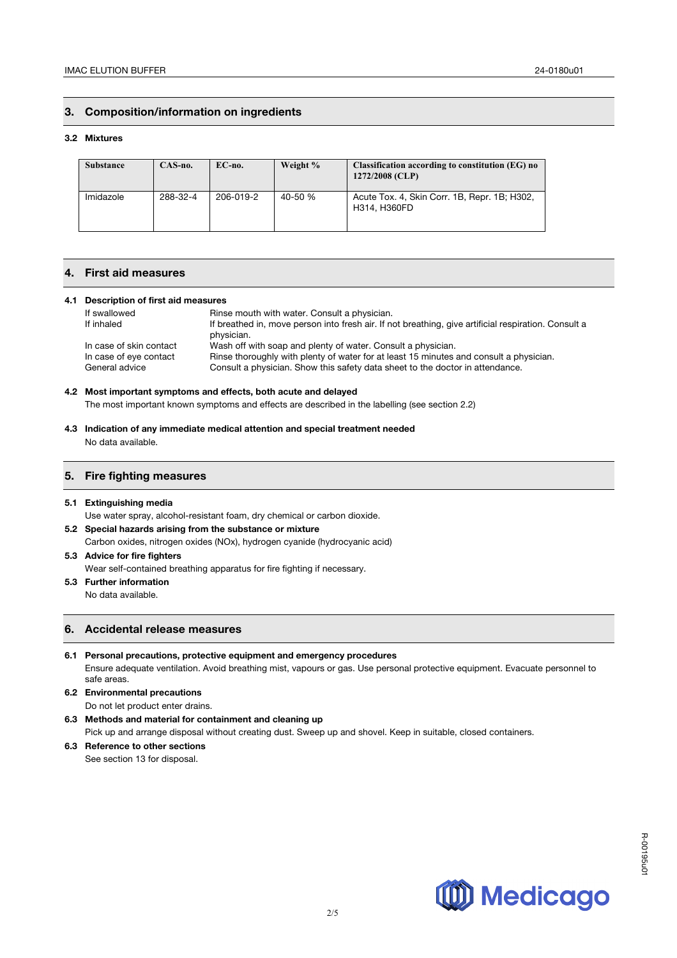## **3. Composition/information on ingredients**

#### **3.2 Mixtures**

| <b>Substance</b> | CAS-no.  | $EC$ -no. | Weight % | Classification according to constitution (EG) no<br>1272/2008 (CLP) |
|------------------|----------|-----------|----------|---------------------------------------------------------------------|
| Imidazole        | 288-32-4 | 206-019-2 | 40-50 %  | Acute Tox. 4, Skin Corr. 1B, Repr. 1B; H302,<br>H314, H360FD        |

## **4. First aid measures**

#### **4.1 Description of first aid measures**

| If swallowed            | Rinse mouth with water. Consult a physician.                                                         |
|-------------------------|------------------------------------------------------------------------------------------------------|
| If inhaled              | If breathed in, move person into fresh air. If not breathing, give artificial respiration. Consult a |
|                         | physician.                                                                                           |
| In case of skin contact | Wash off with soap and plenty of water. Consult a physician.                                         |
| In case of eye contact  | Rinse thoroughly with plenty of water for at least 15 minutes and consult a physician.               |
| General advice          | Consult a physician. Show this safety data sheet to the doctor in attendance.                        |

## **4.2 Most important symptoms and effects, both acute and delayed**

The most important known symptoms and effects are described in the labelling (see section 2.2)

**4.3 Indication of any immediate medical attention and special treatment needed** No data available.

#### **5. Fire fighting measures**

#### **5.1 Extinguishing media**

Use water spray, alcohol-resistant foam, dry chemical or carbon dioxide.

**5.2 Special hazards arising from the substance or mixture**  Carbon oxides, nitrogen oxides (NOx), hydrogen cyanide (hydrocyanic acid)

## **5.3 Advice for fire fighters**

Wear self-contained breathing apparatus for fire fighting if necessary.

#### **5.3 Further information**

No data available.

## **6. Accidental release measures**

- **6.1 Personal precautions, protective equipment and emergency procedures** Ensure adequate ventilation. Avoid breathing mist, vapours or gas. Use personal protective equipment. Evacuate personnel to safe areas.
- **6.2 Environmental precautions**  Do not let product enter drains.
- **6.3 Methods and material for containment and cleaning up**  Pick up and arrange disposal without creating dust. Sweep up and shovel. Keep in suitable, closed containers.
- **6.3 Reference to other sections**  See section 13 for disposal.

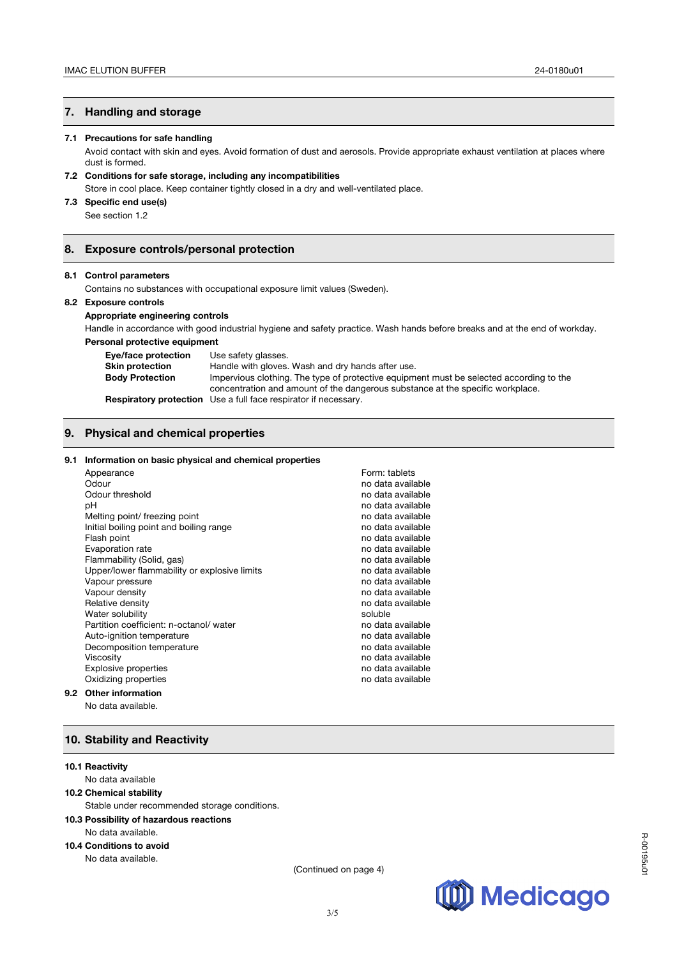## **7. Handling and storage**

#### **7.1 Precautions for safe handling**

Avoid contact with skin and eyes. Avoid formation of dust and aerosols. Provide appropriate exhaust ventilation at places where dust is formed.

### **7.2 Conditions for safe storage, including any incompatibilities**

Store in cool place. Keep container tightly closed in a dry and well-ventilated place.

### **7.3 Specific end use(s)**

See section 1.2

## **8. Exposure controls/personal protection**

#### **8.1 Control parameters**

Contains no substances with occupational exposure limit values (Sweden).

#### **8.2 Exposure controls**

**Appropriate engineering controls**

Handle in accordance with good industrial hygiene and safety practice. Wash hands before breaks and at the end of workday. **Personal protective equipment**

| Eye/face protection    | Use safety glasses.                                                                     |
|------------------------|-----------------------------------------------------------------------------------------|
| <b>Skin protection</b> | Handle with gloves. Wash and dry hands after use.                                       |
| <b>Body Protection</b> | Impervious clothing. The type of protective equipment must be selected according to the |
|                        | concentration and amount of the dangerous substance at the specific workplace.          |
|                        | <b>Respiratory protection</b> Use a full face respirator if necessary.                  |

## **9. Physical and chemical properties**

#### **9.1 Information on basic physical and chemical properties**

|     | Appearance                                   | Form: tablets     |
|-----|----------------------------------------------|-------------------|
|     | Odour                                        | no data available |
|     | Odour threshold                              | no data available |
|     | рH                                           | no data available |
|     | Melting point/ freezing point                | no data available |
|     | Initial boiling point and boiling range      | no data available |
|     | Flash point                                  | no data available |
|     | Evaporation rate                             | no data available |
|     | Flammability (Solid, gas)                    | no data available |
|     | Upper/lower flammability or explosive limits | no data available |
|     | Vapour pressure                              | no data available |
|     | Vapour density                               | no data available |
|     | Relative density                             | no data available |
|     | Water solubility                             | soluble           |
|     | Partition coefficient: n-octanol/water       | no data available |
|     | Auto-ignition temperature                    | no data available |
|     | Decomposition temperature                    | no data available |
|     | <b>Viscosity</b>                             | no data available |
|     | <b>Explosive properties</b>                  | no data available |
|     | Oxidizing properties                         | no data available |
| 9.2 | <b>Other information</b>                     |                   |
|     | No data available.                           |                   |

## **10. Stability and Reactivity**

#### **10.1 Reactivity**

## No data available

#### **10.2 Chemical stability**

Stable under recommended storage conditions.

#### **10.3 Possibility of hazardous reactions**

#### No data available.

## **10.4 Conditions to avoid**

No data available.

(Continued on page 4)

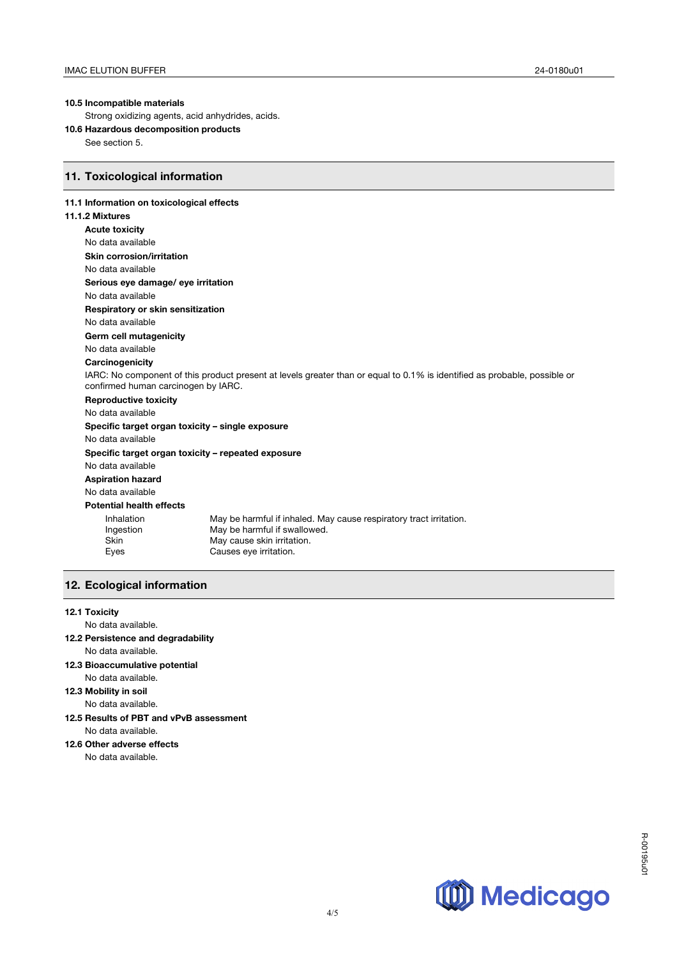## **10.5 Incompatible materials**

Strong oxidizing agents, acid anhydrides, acids.

**10.6 Hazardous decomposition products** 

See section 5.

## **11. Toxicological information**

## **11.1 Information on toxicological effects**

## **11.1.2 Mixtures**

| <b>Acute toxicity</b>                              |                                                                                                                           |  |  |
|----------------------------------------------------|---------------------------------------------------------------------------------------------------------------------------|--|--|
| No data available                                  |                                                                                                                           |  |  |
| Skin corrosion/irritation                          |                                                                                                                           |  |  |
| No data available                                  |                                                                                                                           |  |  |
| Serious eye damage/ eye irritation                 |                                                                                                                           |  |  |
| No data available                                  |                                                                                                                           |  |  |
| Respiratory or skin sensitization                  |                                                                                                                           |  |  |
| No data available                                  |                                                                                                                           |  |  |
| Germ cell mutagenicity                             |                                                                                                                           |  |  |
| No data available                                  |                                                                                                                           |  |  |
| Carcinogenicity                                    |                                                                                                                           |  |  |
|                                                    | IARC: No component of this product present at levels greater than or equal to 0.1% is identified as probable, possible or |  |  |
| confirmed human carcinogen by IARC.                |                                                                                                                           |  |  |
| <b>Reproductive toxicity</b>                       |                                                                                                                           |  |  |
| No data available                                  |                                                                                                                           |  |  |
| Specific target organ toxicity – single exposure   |                                                                                                                           |  |  |
| No data available                                  |                                                                                                                           |  |  |
| Specific target organ toxicity - repeated exposure |                                                                                                                           |  |  |
| No data available                                  |                                                                                                                           |  |  |
| <b>Aspiration hazard</b>                           |                                                                                                                           |  |  |
| No data available                                  |                                                                                                                           |  |  |
| <b>Potential health effects</b>                    |                                                                                                                           |  |  |
| Inhalation                                         | May be harmful if inhaled. May cause respiratory tract irritation.                                                        |  |  |
| Ingestion                                          | May be harmful if swallowed.                                                                                              |  |  |
| <b>Skin</b>                                        | May cause skin irritation.                                                                                                |  |  |
| Eyes                                               | Causes eye irritation.                                                                                                    |  |  |
|                                                    |                                                                                                                           |  |  |

## **12. Ecological information**

## **12.1 Toxicity**

No data available.

- **12.2 Persistence and degradability** No data available.
- **12.3 Bioaccumulative potential** No data available.
- **12.3 Mobility in soil**

No data available.

**12.5 Results of PBT and vPvB assessment** No data available.

## **12.6 Other adverse effects**

No data available.